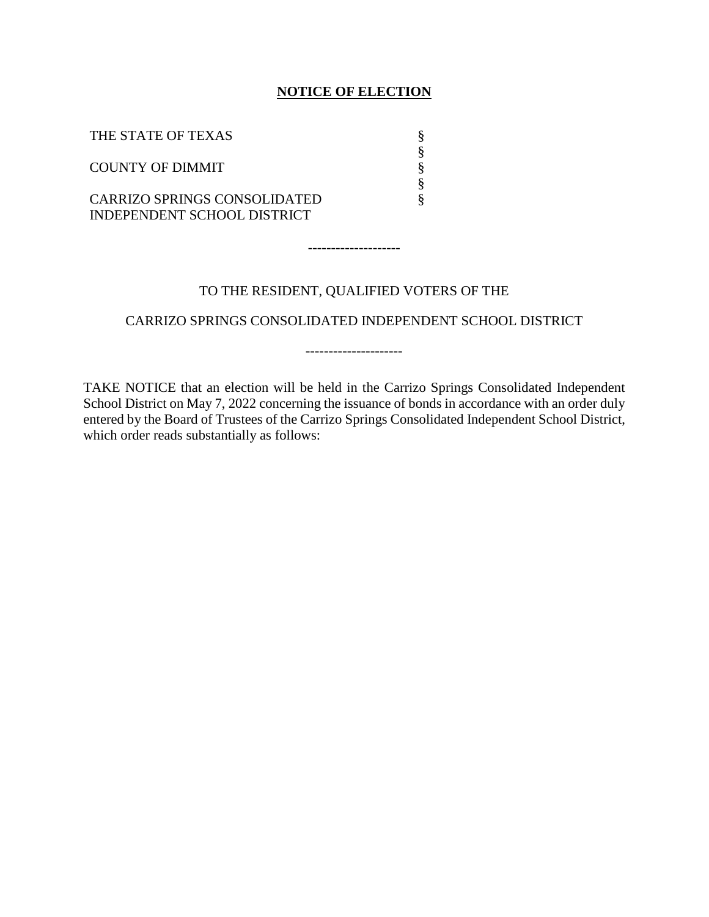### **NOTICE OF ELECTION**

| THE STATE OF TEXAS                                                 |  |
|--------------------------------------------------------------------|--|
| <b>COUNTY OF DIMMIT</b>                                            |  |
| <b>CARRIZO SPRINGS CONSOLIDATED</b><br>INDEPENDENT SCHOOL DISTRICT |  |

## TO THE RESIDENT, QUALIFIED VOTERS OF THE

--------------------

CARRIZO SPRINGS CONSOLIDATED INDEPENDENT SCHOOL DISTRICT

---------------------

TAKE NOTICE that an election will be held in the Carrizo Springs Consolidated Independent School District on May 7, 2022 concerning the issuance of bonds in accordance with an order duly entered by the Board of Trustees of the Carrizo Springs Consolidated Independent School District, which order reads substantially as follows: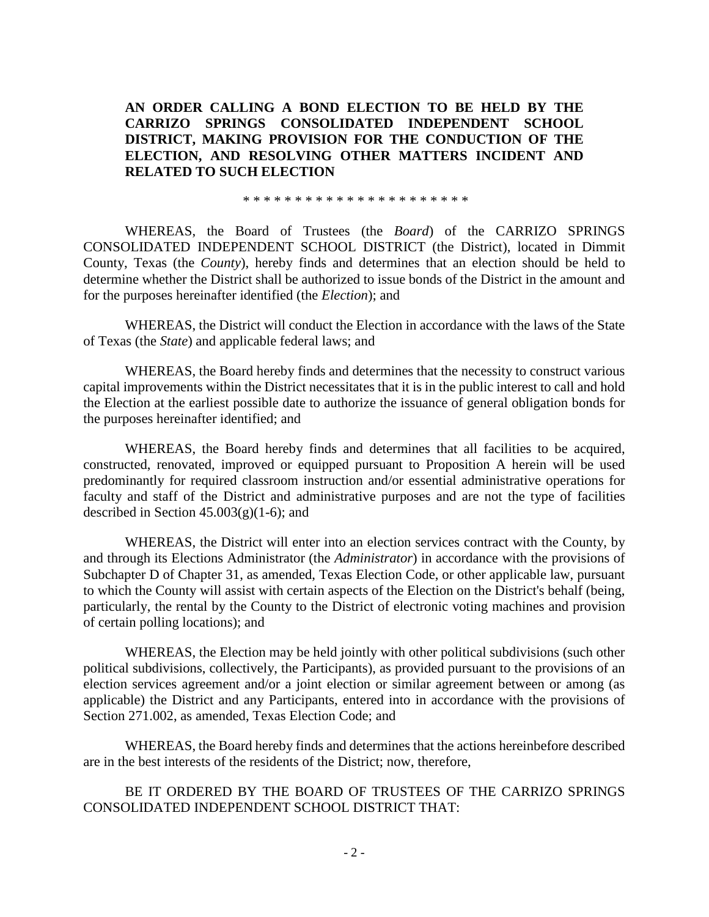## **AN ORDER CALLING A BOND ELECTION TO BE HELD BY THE CARRIZO SPRINGS CONSOLIDATED INDEPENDENT SCHOOL DISTRICT, MAKING PROVISION FOR THE CONDUCTION OF THE ELECTION, AND RESOLVING OTHER MATTERS INCIDENT AND RELATED TO SUCH ELECTION**

\* \* \* \* \* \* \* \* \* \* \* \* \* \* \* \* \* \* \* \* \* \*

WHEREAS, the Board of Trustees (the *Board*) of the CARRIZO SPRINGS CONSOLIDATED INDEPENDENT SCHOOL DISTRICT (the District), located in Dimmit County, Texas (the *County*), hereby finds and determines that an election should be held to determine whether the District shall be authorized to issue bonds of the District in the amount and for the purposes hereinafter identified (the *Election*); and

WHEREAS, the District will conduct the Election in accordance with the laws of the State of Texas (the *State*) and applicable federal laws; and

WHEREAS, the Board hereby finds and determines that the necessity to construct various capital improvements within the District necessitates that it is in the public interest to call and hold the Election at the earliest possible date to authorize the issuance of general obligation bonds for the purposes hereinafter identified; and

WHEREAS, the Board hereby finds and determines that all facilities to be acquired, constructed, renovated, improved or equipped pursuant to Proposition A herein will be used predominantly for required classroom instruction and/or essential administrative operations for faculty and staff of the District and administrative purposes and are not the type of facilities described in Section  $45.003(g)(1-6)$ ; and

WHEREAS, the District will enter into an election services contract with the County, by and through its Elections Administrator (the *Administrator*) in accordance with the provisions of Subchapter D of Chapter 31, as amended, Texas Election Code, or other applicable law, pursuant to which the County will assist with certain aspects of the Election on the District's behalf (being, particularly, the rental by the County to the District of electronic voting machines and provision of certain polling locations); and

WHEREAS, the Election may be held jointly with other political subdivisions (such other political subdivisions, collectively, the Participants), as provided pursuant to the provisions of an election services agreement and/or a joint election or similar agreement between or among (as applicable) the District and any Participants, entered into in accordance with the provisions of Section 271.002, as amended, Texas Election Code; and

WHEREAS, the Board hereby finds and determines that the actions hereinbefore described are in the best interests of the residents of the District; now, therefore,

BE IT ORDERED BY THE BOARD OF TRUSTEES OF THE CARRIZO SPRINGS CONSOLIDATED INDEPENDENT SCHOOL DISTRICT THAT: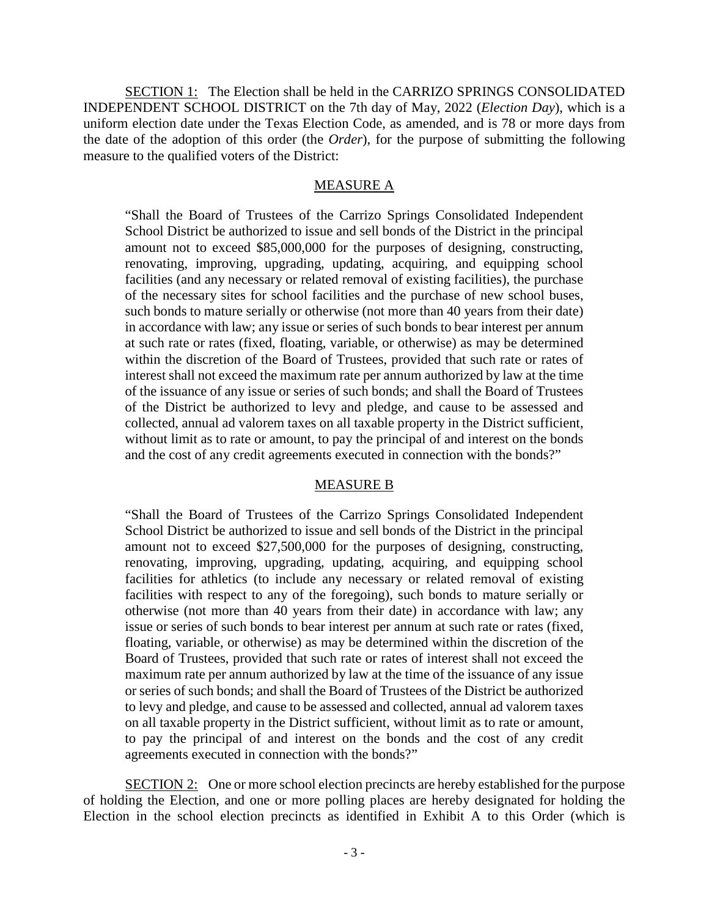SECTION 1: The Election shall be held in the CARRIZO SPRINGS CONSOLIDATED INDEPENDENT SCHOOL DISTRICT on the 7th day of May, 2022 (*Election Day*), which is a uniform election date under the Texas Election Code, as amended, and is 78 or more days from the date of the adoption of this order (the *Order*), for the purpose of submitting the following measure to the qualified voters of the District:

#### MEASURE A

"Shall the Board of Trustees of the Carrizo Springs Consolidated Independent School District be authorized to issue and sell bonds of the District in the principal amount not to exceed \$85,000,000 for the purposes of designing, constructing, renovating, improving, upgrading, updating, acquiring, and equipping school facilities (and any necessary or related removal of existing facilities), the purchase of the necessary sites for school facilities and the purchase of new school buses, such bonds to mature serially or otherwise (not more than 40 years from their date) in accordance with law; any issue or series of such bonds to bear interest per annum at such rate or rates (fixed, floating, variable, or otherwise) as may be determined within the discretion of the Board of Trustees, provided that such rate or rates of interest shall not exceed the maximum rate per annum authorized by law at the time of the issuance of any issue or series of such bonds; and shall the Board of Trustees of the District be authorized to levy and pledge, and cause to be assessed and collected, annual ad valorem taxes on all taxable property in the District sufficient, without limit as to rate or amount, to pay the principal of and interest on the bonds and the cost of any credit agreements executed in connection with the bonds?"

#### MEASURE B

"Shall the Board of Trustees of the Carrizo Springs Consolidated Independent School District be authorized to issue and sell bonds of the District in the principal amount not to exceed \$27,500,000 for the purposes of designing, constructing, renovating, improving, upgrading, updating, acquiring, and equipping school facilities for athletics (to include any necessary or related removal of existing facilities with respect to any of the foregoing), such bonds to mature serially or otherwise (not more than 40 years from their date) in accordance with law; any issue or series of such bonds to bear interest per annum at such rate or rates (fixed, floating, variable, or otherwise) as may be determined within the discretion of the Board of Trustees, provided that such rate or rates of interest shall not exceed the maximum rate per annum authorized by law at the time of the issuance of any issue or series of such bonds; and shall the Board of Trustees of the District be authorized to levy and pledge, and cause to be assessed and collected, annual ad valorem taxes on all taxable property in the District sufficient, without limit as to rate or amount, to pay the principal of and interest on the bonds and the cost of any credit agreements executed in connection with the bonds?"

SECTION 2: One or more school election precincts are hereby established for the purpose of holding the Election, and one or more polling places are hereby designated for holding the Election in the school election precincts as identified in Exhibit A to this Order (which is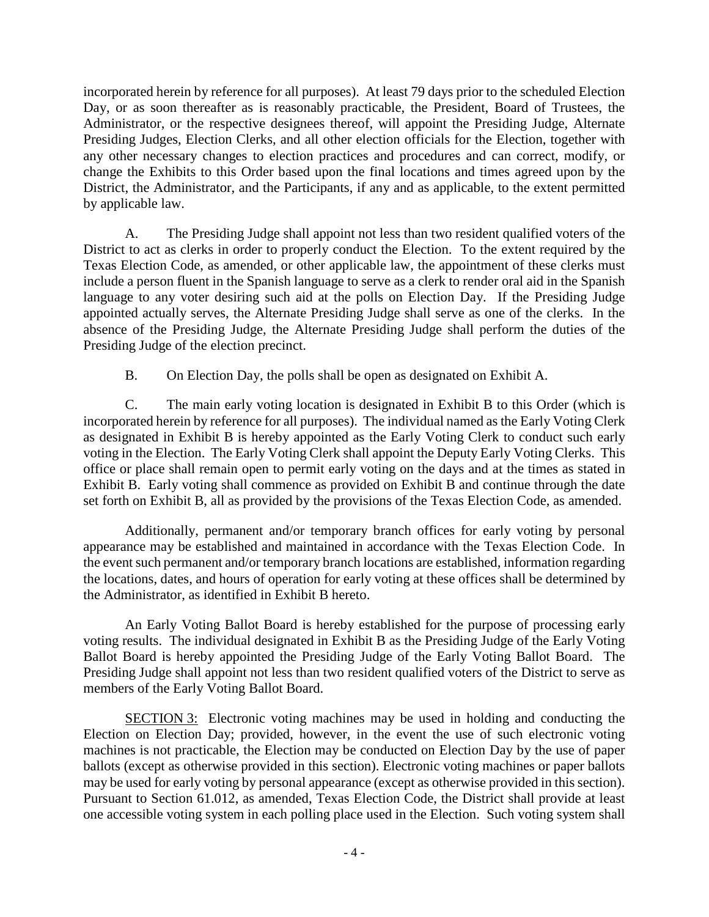incorporated herein by reference for all purposes). At least 79 days prior to the scheduled Election Day, or as soon thereafter as is reasonably practicable, the President, Board of Trustees, the Administrator, or the respective designees thereof, will appoint the Presiding Judge, Alternate Presiding Judges, Election Clerks, and all other election officials for the Election, together with any other necessary changes to election practices and procedures and can correct, modify, or change the Exhibits to this Order based upon the final locations and times agreed upon by the District, the Administrator, and the Participants, if any and as applicable, to the extent permitted by applicable law.

A. The Presiding Judge shall appoint not less than two resident qualified voters of the District to act as clerks in order to properly conduct the Election. To the extent required by the Texas Election Code, as amended, or other applicable law, the appointment of these clerks must include a person fluent in the Spanish language to serve as a clerk to render oral aid in the Spanish language to any voter desiring such aid at the polls on Election Day. If the Presiding Judge appointed actually serves, the Alternate Presiding Judge shall serve as one of the clerks. In the absence of the Presiding Judge, the Alternate Presiding Judge shall perform the duties of the Presiding Judge of the election precinct.

B. On Election Day, the polls shall be open as designated on Exhibit A.

C. The main early voting location is designated in Exhibit B to this Order (which is incorporated herein by reference for all purposes). The individual named as the Early Voting Clerk as designated in Exhibit B is hereby appointed as the Early Voting Clerk to conduct such early voting in the Election. The Early Voting Clerk shall appoint the Deputy Early Voting Clerks. This office or place shall remain open to permit early voting on the days and at the times as stated in Exhibit B. Early voting shall commence as provided on Exhibit B and continue through the date set forth on Exhibit B, all as provided by the provisions of the Texas Election Code, as amended.

Additionally, permanent and/or temporary branch offices for early voting by personal appearance may be established and maintained in accordance with the Texas Election Code. In the event such permanent and/or temporary branch locations are established, information regarding the locations, dates, and hours of operation for early voting at these offices shall be determined by the Administrator, as identified in Exhibit B hereto.

An Early Voting Ballot Board is hereby established for the purpose of processing early voting results. The individual designated in Exhibit B as the Presiding Judge of the Early Voting Ballot Board is hereby appointed the Presiding Judge of the Early Voting Ballot Board. The Presiding Judge shall appoint not less than two resident qualified voters of the District to serve as members of the Early Voting Ballot Board.

SECTION 3: Electronic voting machines may be used in holding and conducting the Election on Election Day; provided, however, in the event the use of such electronic voting machines is not practicable, the Election may be conducted on Election Day by the use of paper ballots (except as otherwise provided in this section). Electronic voting machines or paper ballots may be used for early voting by personal appearance (except as otherwise provided in this section). Pursuant to Section 61.012, as amended, Texas Election Code, the District shall provide at least one accessible voting system in each polling place used in the Election. Such voting system shall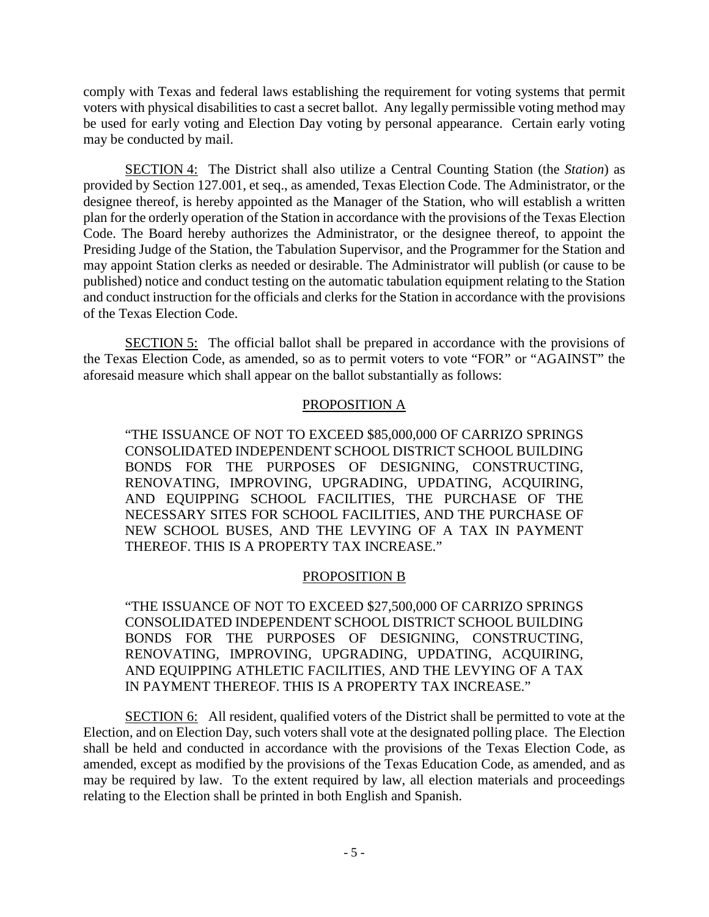comply with Texas and federal laws establishing the requirement for voting systems that permit voters with physical disabilities to cast a secret ballot. Any legally permissible voting method may be used for early voting and Election Day voting by personal appearance. Certain early voting may be conducted by mail.

SECTION 4: The District shall also utilize a Central Counting Station (the *Station*) as provided by Section 127.001, et seq., as amended, Texas Election Code. The Administrator, or the designee thereof, is hereby appointed as the Manager of the Station, who will establish a written plan for the orderly operation of the Station in accordance with the provisions of the Texas Election Code. The Board hereby authorizes the Administrator, or the designee thereof, to appoint the Presiding Judge of the Station, the Tabulation Supervisor, and the Programmer for the Station and may appoint Station clerks as needed or desirable. The Administrator will publish (or cause to be published) notice and conduct testing on the automatic tabulation equipment relating to the Station and conduct instruction for the officials and clerks for the Station in accordance with the provisions of the Texas Election Code.

SECTION 5: The official ballot shall be prepared in accordance with the provisions of the Texas Election Code, as amended, so as to permit voters to vote "FOR" or "AGAINST" the aforesaid measure which shall appear on the ballot substantially as follows:

## PROPOSITION A

"THE ISSUANCE OF NOT TO EXCEED \$85,000,000 OF CARRIZO SPRINGS CONSOLIDATED INDEPENDENT SCHOOL DISTRICT SCHOOL BUILDING BONDS FOR THE PURPOSES OF DESIGNING, CONSTRUCTING, RENOVATING, IMPROVING, UPGRADING, UPDATING, ACQUIRING, AND EQUIPPING SCHOOL FACILITIES, THE PURCHASE OF THE NECESSARY SITES FOR SCHOOL FACILITIES, AND THE PURCHASE OF NEW SCHOOL BUSES, AND THE LEVYING OF A TAX IN PAYMENT THEREOF. THIS IS A PROPERTY TAX INCREASE."

## PROPOSITION B

"THE ISSUANCE OF NOT TO EXCEED \$27,500,000 OF CARRIZO SPRINGS CONSOLIDATED INDEPENDENT SCHOOL DISTRICT SCHOOL BUILDING BONDS FOR THE PURPOSES OF DESIGNING, CONSTRUCTING, RENOVATING, IMPROVING, UPGRADING, UPDATING, ACQUIRING, AND EQUIPPING ATHLETIC FACILITIES, AND THE LEVYING OF A TAX IN PAYMENT THEREOF. THIS IS A PROPERTY TAX INCREASE."

SECTION 6: All resident, qualified voters of the District shall be permitted to vote at the Election, and on Election Day, such voters shall vote at the designated polling place. The Election shall be held and conducted in accordance with the provisions of the Texas Election Code, as amended, except as modified by the provisions of the Texas Education Code, as amended, and as may be required by law. To the extent required by law, all election materials and proceedings relating to the Election shall be printed in both English and Spanish.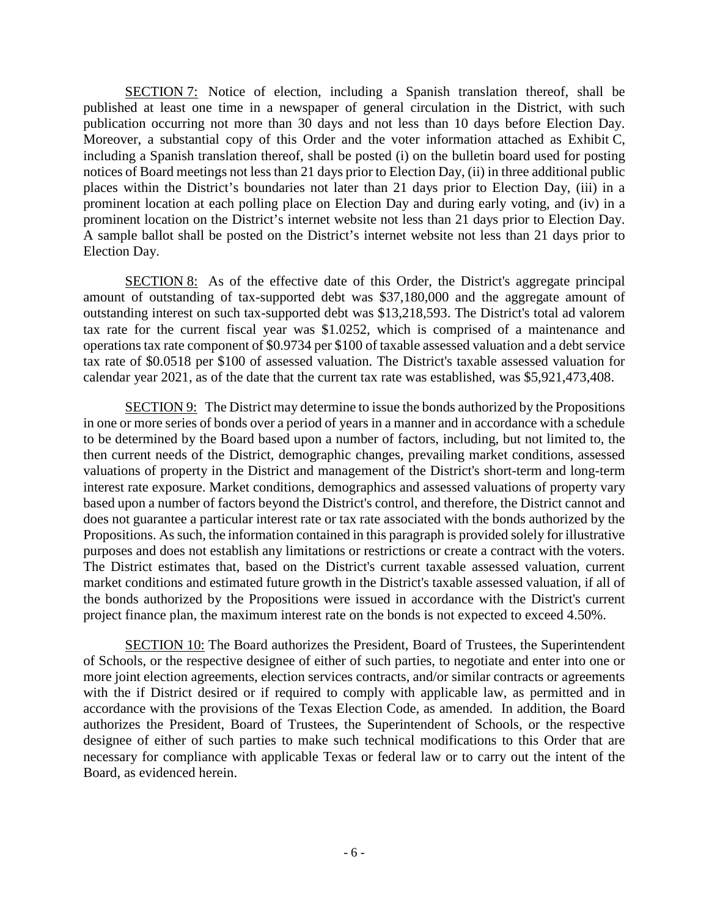SECTION 7: Notice of election, including a Spanish translation thereof, shall be published at least one time in a newspaper of general circulation in the District, with such publication occurring not more than 30 days and not less than 10 days before Election Day. Moreover, a substantial copy of this Order and the voter information attached as Exhibit C, including a Spanish translation thereof, shall be posted (i) on the bulletin board used for posting notices of Board meetings not less than 21 days prior to Election Day, (ii) in three additional public places within the District's boundaries not later than 21 days prior to Election Day, (iii) in a prominent location at each polling place on Election Day and during early voting, and (iv) in a prominent location on the District's internet website not less than 21 days prior to Election Day. A sample ballot shall be posted on the District's internet website not less than 21 days prior to Election Day.

SECTION 8: As of the effective date of this Order, the District's aggregate principal amount of outstanding of tax-supported debt was \$37,180,000 and the aggregate amount of outstanding interest on such tax-supported debt was \$13,218,593. The District's total ad valorem tax rate for the current fiscal year was \$1.0252, which is comprised of a maintenance and operations tax rate component of \$0.9734 per \$100 of taxable assessed valuation and a debt service tax rate of \$0.0518 per \$100 of assessed valuation. The District's taxable assessed valuation for calendar year 2021, as of the date that the current tax rate was established, was \$5,921,473,408.

SECTION 9: The District may determine to issue the bonds authorized by the Propositions in one or more series of bonds over a period of years in a manner and in accordance with a schedule to be determined by the Board based upon a number of factors, including, but not limited to, the then current needs of the District, demographic changes, prevailing market conditions, assessed valuations of property in the District and management of the District's short-term and long-term interest rate exposure. Market conditions, demographics and assessed valuations of property vary based upon a number of factors beyond the District's control, and therefore, the District cannot and does not guarantee a particular interest rate or tax rate associated with the bonds authorized by the Propositions. As such, the information contained in this paragraph is provided solely for illustrative purposes and does not establish any limitations or restrictions or create a contract with the voters. The District estimates that, based on the District's current taxable assessed valuation, current market conditions and estimated future growth in the District's taxable assessed valuation, if all of the bonds authorized by the Propositions were issued in accordance with the District's current project finance plan, the maximum interest rate on the bonds is not expected to exceed 4.50%.

SECTION 10: The Board authorizes the President, Board of Trustees, the Superintendent of Schools, or the respective designee of either of such parties, to negotiate and enter into one or more joint election agreements, election services contracts, and/or similar contracts or agreements with the if District desired or if required to comply with applicable law, as permitted and in accordance with the provisions of the Texas Election Code, as amended. In addition, the Board authorizes the President, Board of Trustees, the Superintendent of Schools, or the respective designee of either of such parties to make such technical modifications to this Order that are necessary for compliance with applicable Texas or federal law or to carry out the intent of the Board, as evidenced herein.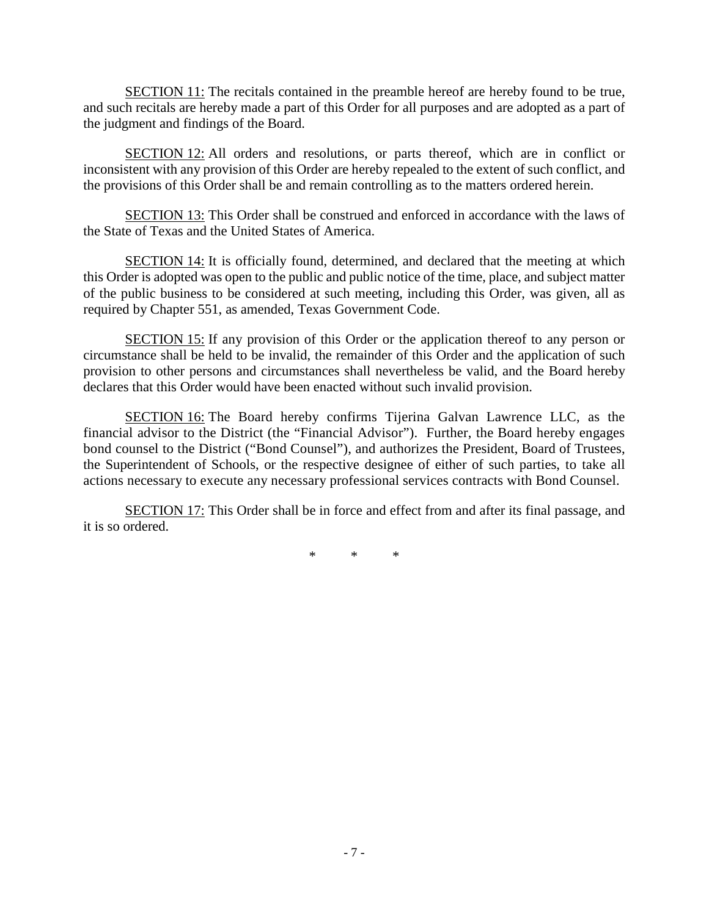SECTION 11: The recitals contained in the preamble hereof are hereby found to be true, and such recitals are hereby made a part of this Order for all purposes and are adopted as a part of the judgment and findings of the Board.

SECTION 12: All orders and resolutions, or parts thereof, which are in conflict or inconsistent with any provision of this Order are hereby repealed to the extent of such conflict, and the provisions of this Order shall be and remain controlling as to the matters ordered herein.

SECTION 13: This Order shall be construed and enforced in accordance with the laws of the State of Texas and the United States of America.

SECTION 14: It is officially found, determined, and declared that the meeting at which this Order is adopted was open to the public and public notice of the time, place, and subject matter of the public business to be considered at such meeting, including this Order, was given, all as required by Chapter 551, as amended, Texas Government Code.

SECTION 15: If any provision of this Order or the application thereof to any person or circumstance shall be held to be invalid, the remainder of this Order and the application of such provision to other persons and circumstances shall nevertheless be valid, and the Board hereby declares that this Order would have been enacted without such invalid provision.

SECTION 16: The Board hereby confirms Tijerina Galvan Lawrence LLC, as the financial advisor to the District (the "Financial Advisor"). Further, the Board hereby engages bond counsel to the District ("Bond Counsel"), and authorizes the President, Board of Trustees, the Superintendent of Schools, or the respective designee of either of such parties, to take all actions necessary to execute any necessary professional services contracts with Bond Counsel.

SECTION 17: This Order shall be in force and effect from and after its final passage, and it is so ordered.

\* \* \*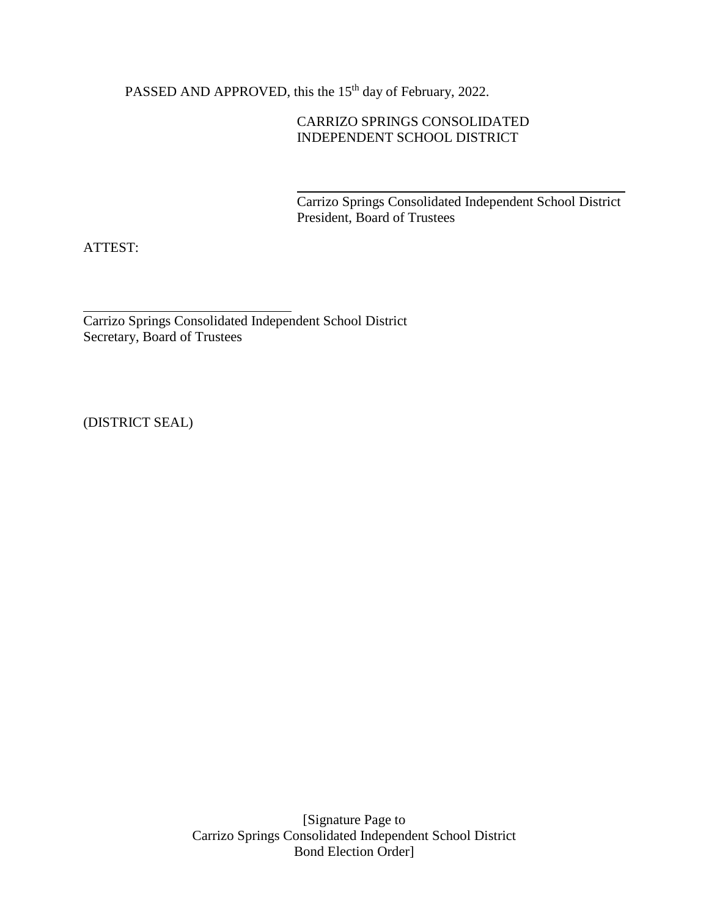PASSED AND APPROVED, this the 15<sup>th</sup> day of February, 2022.

# CARRIZO SPRINGS CONSOLIDATED INDEPENDENT SCHOOL DISTRICT

Carrizo Springs Consolidated Independent School District President, Board of Trustees

ATTEST:

Carrizo Springs Consolidated Independent School District Secretary, Board of Trustees

(DISTRICT SEAL)

[Signature Page to Carrizo Springs Consolidated Independent School District Bond Election Order]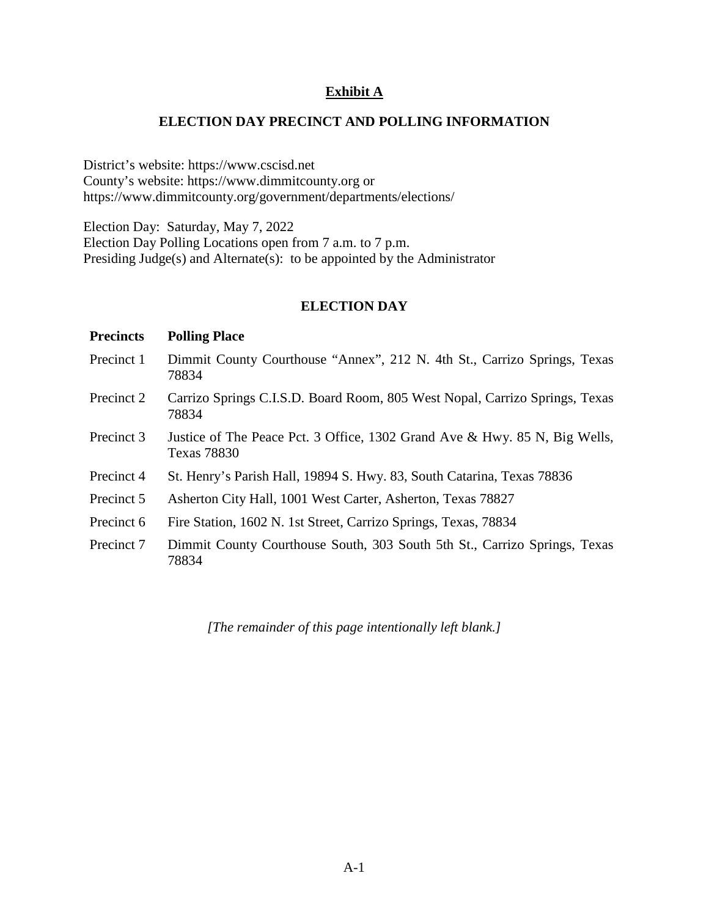## **Exhibit A**

## **ELECTION DAY PRECINCT AND POLLING INFORMATION**

District's website: https://www.cscisd.net County's website: https://www.dimmitcounty.org or https://www.dimmitcounty.org/government/departments/elections/

Election Day: Saturday, May 7, 2022 Election Day Polling Locations open from 7 a.m. to 7 p.m. Presiding Judge(s) and Alternate(s): to be appointed by the Administrator

### **ELECTION DAY**

### **Precincts Polling Place**

- Precinct 1 Dimmit County Courthouse "Annex", 212 N. 4th St., Carrizo Springs, Texas 78834
- Precinct 2 Carrizo Springs C.I.S.D. Board Room, 805 West Nopal, Carrizo Springs, Texas 78834
- Precinct 3 Justice of The Peace Pct. 3 Office, 1302 Grand Ave & Hwy. 85 N, Big Wells, Texas 78830
- Precinct 4 St. Henry's Parish Hall, 19894 S. Hwy. 83, South Catarina, Texas 78836
- Precinct 5 Asherton City Hall, 1001 West Carter, Asherton, Texas 78827
- Precinct 6 Fire Station, 1602 N. 1st Street, Carrizo Springs, Texas, 78834
- Precinct 7 Dimmit County Courthouse South, 303 South 5th St., Carrizo Springs, Texas 78834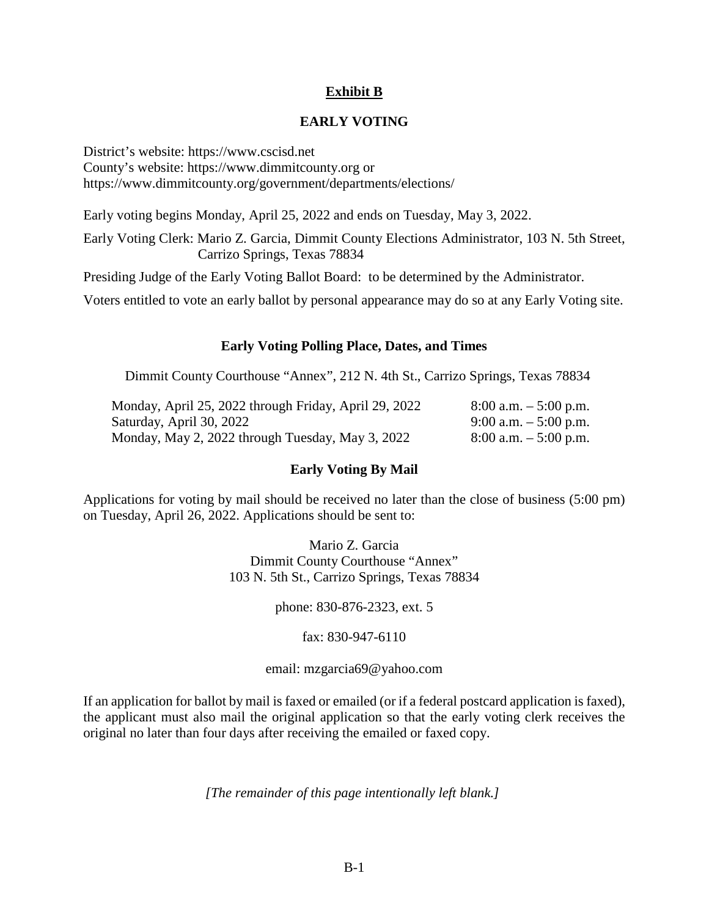# **Exhibit B**

## **EARLY VOTING**

District's website: https://www.cscisd.net County's website: https://www.dimmitcounty.org or https://www.dimmitcounty.org/government/departments/elections/

Early voting begins Monday, April 25, 2022 and ends on Tuesday, May 3, 2022.

Early Voting Clerk: Mario Z. Garcia, Dimmit County Elections Administrator, 103 N. 5th Street, Carrizo Springs, Texas 78834

Presiding Judge of the Early Voting Ballot Board: to be determined by the Administrator.

Voters entitled to vote an early ballot by personal appearance may do so at any Early Voting site.

### **Early Voting Polling Place, Dates, and Times**

Dimmit County Courthouse "Annex", 212 N. 4th St., Carrizo Springs, Texas 78834

| Monday, April 25, 2022 through Friday, April 29, 2022 | $8:00$ a.m. $-5:00$ p.m. |
|-------------------------------------------------------|--------------------------|
| Saturday, April 30, 2022                              | 9:00 a.m. $-$ 5:00 p.m.  |
| Monday, May 2, 2022 through Tuesday, May 3, 2022      | $8:00$ a.m. $-5:00$ p.m. |

### **Early Voting By Mail**

Applications for voting by mail should be received no later than the close of business (5:00 pm) on Tuesday, April 26, 2022. Applications should be sent to:

> Mario Z. Garcia Dimmit County Courthouse "Annex" 103 N. 5th St., Carrizo Springs, Texas 78834

> > phone: 830-876-2323, ext. 5

### fax: 830-947-6110

### email: mzgarcia69@yahoo.com

If an application for ballot by mail is faxed or emailed (or if a federal postcard application is faxed), the applicant must also mail the original application so that the early voting clerk receives the original no later than four days after receiving the emailed or faxed copy.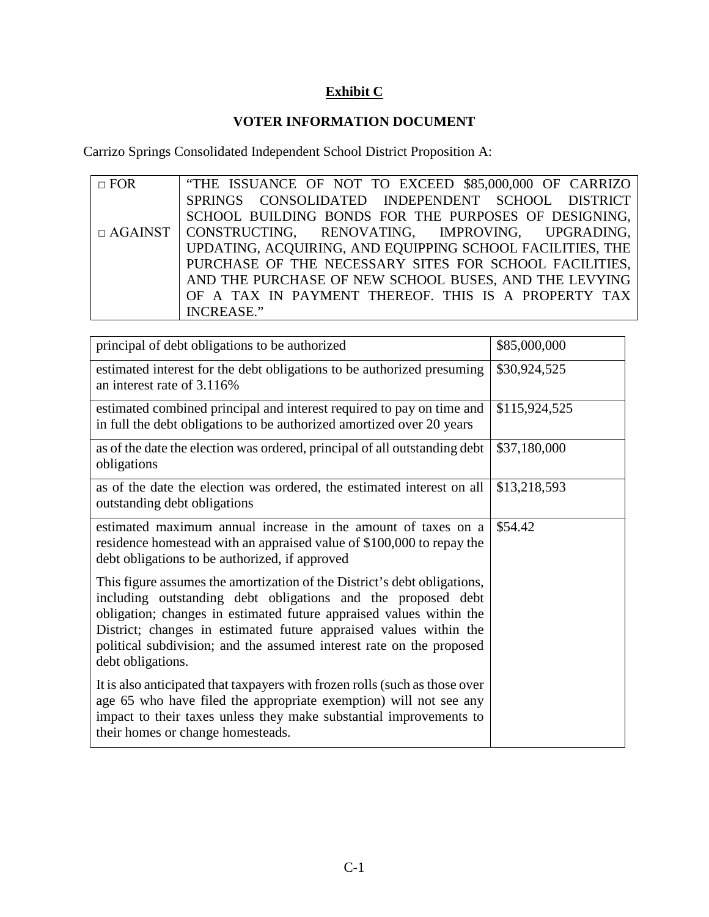# **Exhibit C**

### **VOTER INFORMATION DOCUMENT**

Carrizo Springs Consolidated Independent School District Proposition A:

 $\overline{\Box}$  FOR □ AGAINST "THE ISSUANCE OF NOT TO EXCEED \$85,000,000 OF CARRIZO SPRINGS CONSOLIDATED INDEPENDENT SCHOOL DISTRICT SCHOOL BUILDING BONDS FOR THE PURPOSES OF DESIGNING, CONSTRUCTING, RENOVATING, IMPROVING, UPGRADING, UPDATING, ACQUIRING, AND EQUIPPING SCHOOL FACILITIES, THE PURCHASE OF THE NECESSARY SITES FOR SCHOOL FACILITIES, AND THE PURCHASE OF NEW SCHOOL BUSES, AND THE LEVYING OF A TAX IN PAYMENT THEREOF. THIS IS A PROPERTY TAX INCREASE."

| principal of debt obligations to be authorized                                                                                                                                                                                                                                                                                                                                    | \$85,000,000  |
|-----------------------------------------------------------------------------------------------------------------------------------------------------------------------------------------------------------------------------------------------------------------------------------------------------------------------------------------------------------------------------------|---------------|
| estimated interest for the debt obligations to be authorized presuming<br>an interest rate of 3.116%                                                                                                                                                                                                                                                                              | \$30,924,525  |
| estimated combined principal and interest required to pay on time and<br>in full the debt obligations to be authorized amortized over 20 years                                                                                                                                                                                                                                    | \$115,924,525 |
| as of the date the election was ordered, principal of all outstanding debt<br>obligations                                                                                                                                                                                                                                                                                         | \$37,180,000  |
| as of the date the election was ordered, the estimated interest on all<br>outstanding debt obligations                                                                                                                                                                                                                                                                            | \$13,218,593  |
| estimated maximum annual increase in the amount of taxes on a<br>residence homestead with an appraised value of \$100,000 to repay the<br>debt obligations to be authorized, if approved                                                                                                                                                                                          | \$54.42       |
| This figure assumes the amortization of the District's debt obligations,<br>including outstanding debt obligations and the proposed debt<br>obligation; changes in estimated future appraised values within the<br>District; changes in estimated future appraised values within the<br>political subdivision; and the assumed interest rate on the proposed<br>debt obligations. |               |
| It is also anticipated that taxpayers with frozen rolls (such as those over<br>age 65 who have filed the appropriate exemption) will not see any<br>impact to their taxes unless they make substantial improvements to<br>their homes or change homesteads.                                                                                                                       |               |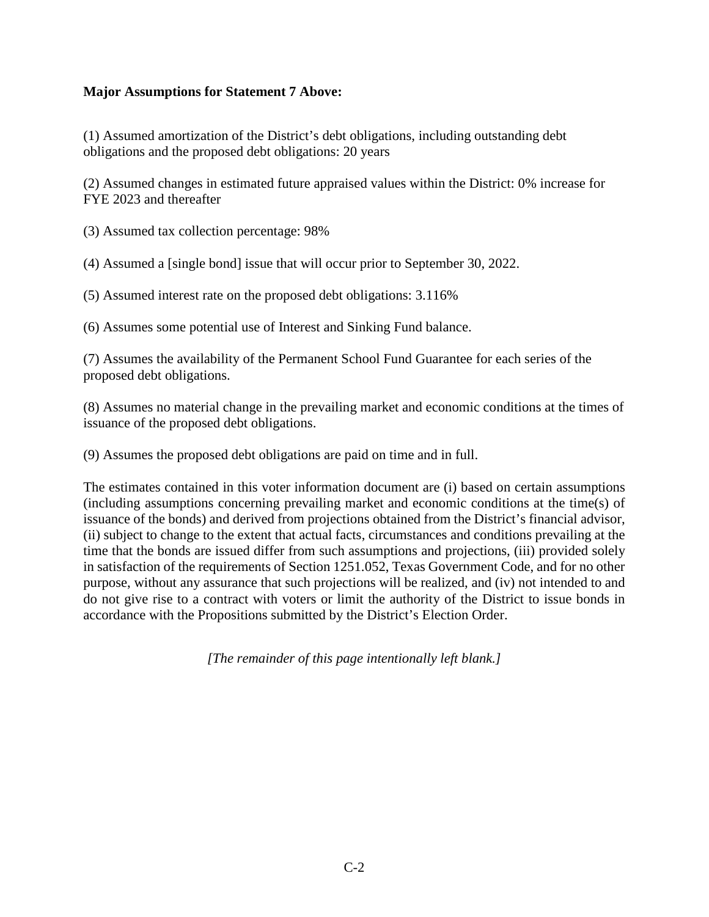## **Major Assumptions for Statement 7 Above:**

(1) Assumed amortization of the District's debt obligations, including outstanding debt obligations and the proposed debt obligations: 20 years

(2) Assumed changes in estimated future appraised values within the District: 0% increase for FYE 2023 and thereafter

(3) Assumed tax collection percentage: 98%

(4) Assumed a [single bond] issue that will occur prior to September 30, 2022.

(5) Assumed interest rate on the proposed debt obligations: 3.116%

(6) Assumes some potential use of Interest and Sinking Fund balance.

(7) Assumes the availability of the Permanent School Fund Guarantee for each series of the proposed debt obligations.

(8) Assumes no material change in the prevailing market and economic conditions at the times of issuance of the proposed debt obligations.

(9) Assumes the proposed debt obligations are paid on time and in full.

The estimates contained in this voter information document are (i) based on certain assumptions (including assumptions concerning prevailing market and economic conditions at the time(s) of issuance of the bonds) and derived from projections obtained from the District's financial advisor, (ii) subject to change to the extent that actual facts, circumstances and conditions prevailing at the time that the bonds are issued differ from such assumptions and projections, (iii) provided solely in satisfaction of the requirements of Section 1251.052, Texas Government Code, and for no other purpose, without any assurance that such projections will be realized, and (iv) not intended to and do not give rise to a contract with voters or limit the authority of the District to issue bonds in accordance with the Propositions submitted by the District's Election Order.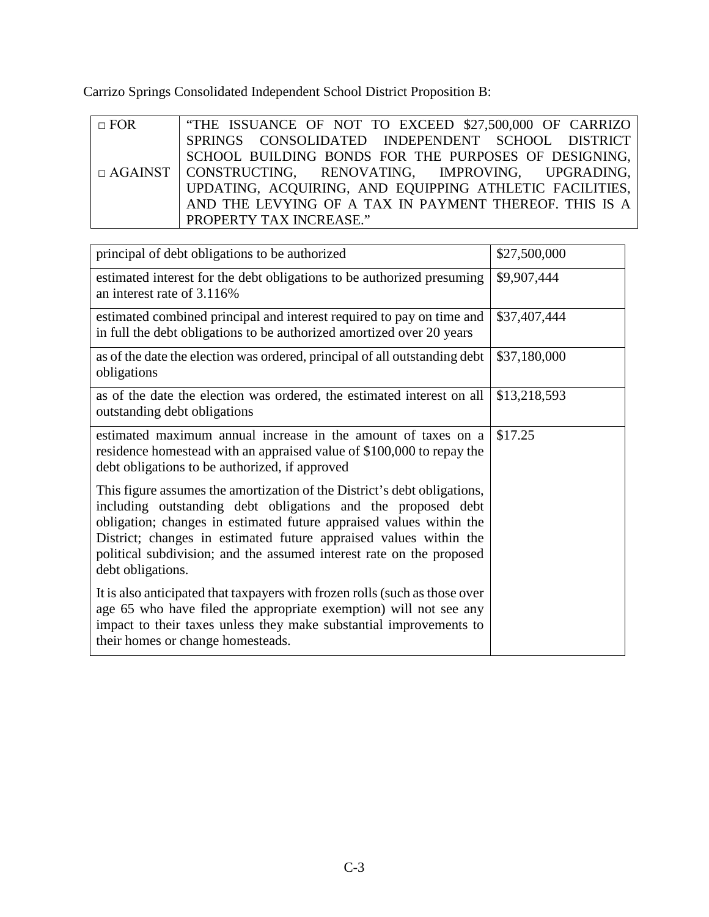Carrizo Springs Consolidated Independent School District Proposition B:

| $\Box$ FOR | THE ISSUANCE OF NOT TO EXCEED \$27,500,000 OF CARRIZO            |
|------------|------------------------------------------------------------------|
|            | SPRINGS CONSOLIDATED INDEPENDENT SCHOOL DISTRICT                 |
|            | SCHOOL BUILDING BONDS FOR THE PURPOSES OF DESIGNING,             |
|            | $\Box$ AGAINST   CONSTRUCTING, RENOVATING, IMPROVING, UPGRADING, |
|            | UPDATING, ACQUIRING, AND EQUIPPING ATHLETIC FACILITIES,          |
|            | AND THE LEVYING OF A TAX IN PAYMENT THEREOF. THIS IS A           |
|            | PROPERTY TAX INCREASE."                                          |

| principal of debt obligations to be authorized                                                                                                                                                                                                                                                                                                                                    | \$27,500,000 |
|-----------------------------------------------------------------------------------------------------------------------------------------------------------------------------------------------------------------------------------------------------------------------------------------------------------------------------------------------------------------------------------|--------------|
| estimated interest for the debt obligations to be authorized presuming<br>an interest rate of 3.116%                                                                                                                                                                                                                                                                              | \$9,907,444  |
| estimated combined principal and interest required to pay on time and<br>in full the debt obligations to be authorized amortized over 20 years                                                                                                                                                                                                                                    | \$37,407,444 |
| as of the date the election was ordered, principal of all outstanding debt<br>obligations                                                                                                                                                                                                                                                                                         | \$37,180,000 |
| as of the date the election was ordered, the estimated interest on all<br>outstanding debt obligations                                                                                                                                                                                                                                                                            | \$13,218,593 |
| estimated maximum annual increase in the amount of taxes on a<br>residence homestead with an appraised value of \$100,000 to repay the<br>debt obligations to be authorized, if approved                                                                                                                                                                                          | \$17.25      |
| This figure assumes the amortization of the District's debt obligations,<br>including outstanding debt obligations and the proposed debt<br>obligation; changes in estimated future appraised values within the<br>District; changes in estimated future appraised values within the<br>political subdivision; and the assumed interest rate on the proposed<br>debt obligations. |              |
| It is also anticipated that taxpayers with frozen rolls (such as those over<br>age 65 who have filed the appropriate exemption) will not see any<br>impact to their taxes unless they make substantial improvements to<br>their homes or change homesteads.                                                                                                                       |              |